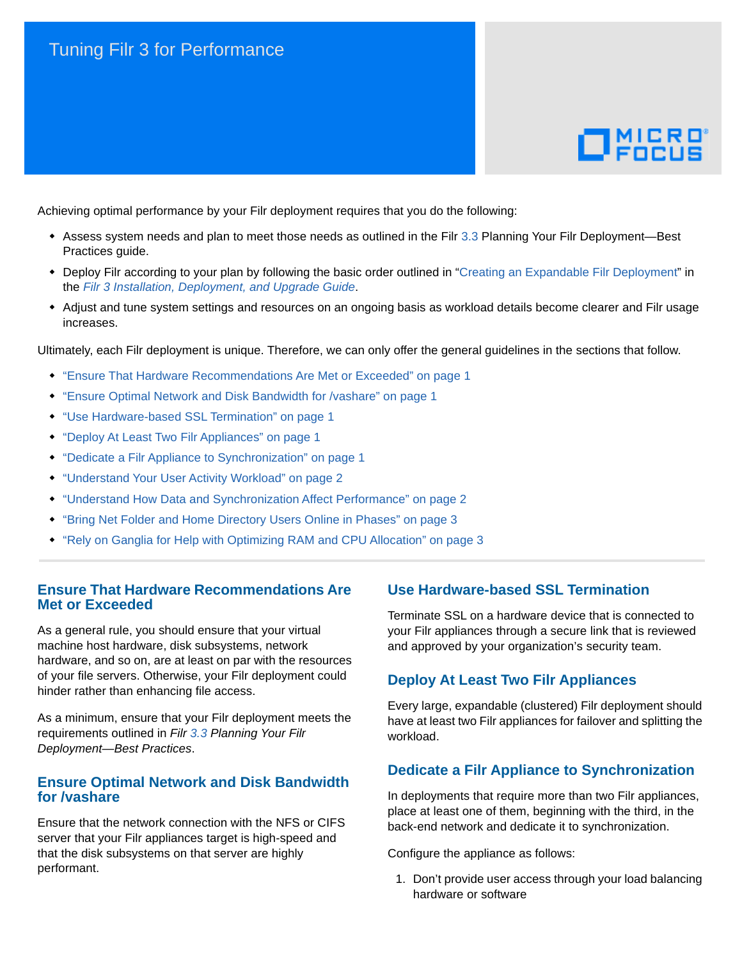# Tuning Filr 3 for Performance



Achieving optimal performance by your Filr deployment requires that you do the following:

- [Assess system needs and plan to meet those needs as outlined in the Filr 3](https://www.novell.com/documentation/filr-3/pdfdoc/filr-bp-plan-deploy/filr-bp-plan-deploy.pdf#bookinfo).3 Planning Your Filr Deployment—Best Practices guide.
- Deploy Filr according to your plan by following the basic order outlined in ["Creating an Expandable Filr Deployment](https://www.novell.com/documentation/filr-3/pdfdoc/filr-inst/filr-inst.pdf#instcreatelargeexpand)" in the *[Filr 3 Installation, Deployment, and Upgrade Guide](https://www.novell.com/documentation/filr-3/pdfdoc/filr-inst/filr-inst.pdf#bookinfo)*.
- Adjust and tune system settings and resources on an ongoing basis as workload details become clearer and Filr usage increases.

Ultimately, each Filr deployment is unique. Therefore, we can only offer the general guidelines in the sections that follow.

- ["Ensure That Hardware Recommendations Are Met or Exceeded" on page 1](#page-0-0)
- ["Ensure Optimal Network and Disk Bandwidth for /vashare" on page 1](#page-0-1)
- ["Use Hardware-based SSL Termination" on page 1](#page-0-2)
- ["Deploy At Least Two Filr Appliances" on page 1](#page-0-3)
- ["Dedicate a Filr Appliance to Synchronization" on page 1](#page-0-4)
- ["Understand Your User Activity Workload" on page 2](#page-1-0)
- ["Understand How Data and Synchronization Affect Performance" on page 2](#page-1-1)
- ["Bring Net Folder and Home Directory Users Online in Phases" on page 3](#page-2-0)
- ["Rely on Ganglia for Help with Optimizing RAM and CPU Allocation" on page 3](#page-2-1)

## <span id="page-0-0"></span>**Ensure That Hardware Recommendations Are Met or Exceeded**

As a general rule, you should ensure that your virtual machine host hardware, disk subsystems, network hardware, and so on, are at least on par with the resources of your file servers. Otherwise, your Filr deployment could hinder rather than enhancing file access.

As a minimum, ensure that your Filr deployment meets the requirements outlined in *[Filr](https://www.novell.com/documentation/filr-3/pdfdoc/filr-bp-plan-deploy/filr-bp-plan-deploy.pdf#bookinfo) 3.3 Planning Your Filr Deployment—Best Practices*.

## <span id="page-0-1"></span>**Ensure Optimal Network and Disk Bandwidth for /vashare**

Ensure that the network connection with the NFS or CIFS server that your Filr appliances target is high-speed and that the disk subsystems on that server are highly performant.

## <span id="page-0-2"></span>**Use Hardware-based SSL Termination**

Terminate SSL on a hardware device that is connected to your Filr appliances through a secure link that is reviewed and approved by your organization's security team.

## <span id="page-0-3"></span>**Deploy At Least Two Filr Appliances**

Every large, expandable (clustered) Filr deployment should have at least two Filr appliances for failover and splitting the workload.

## <span id="page-0-4"></span>**Dedicate a Filr Appliance to Synchronization**

In deployments that require more than two Filr appliances, place at least one of them, beginning with the third, in the back-end network and dedicate it to synchronization.

Configure the appliance as follows:

1. Don't provide user access through your load balancing hardware or software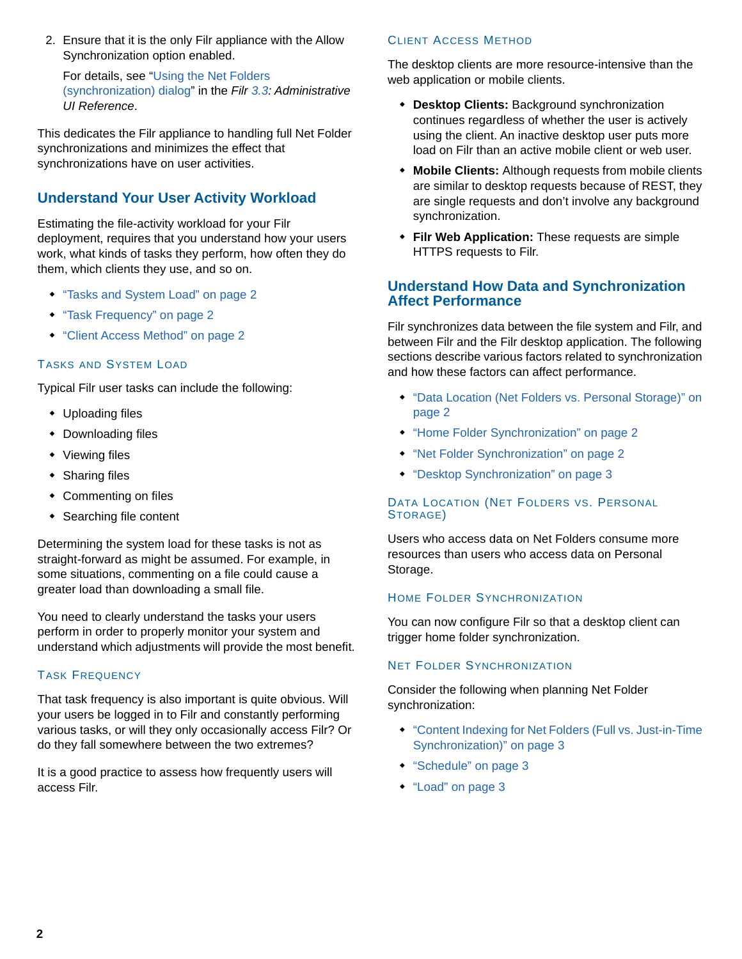2. Ensure that it is the only Filr appliance with the Allow Synchronization option enabled.

For details, see ["Using the Net Folders](https://www.novell.com/documentation/filr-3/pdfdoc/filr-admin/filr-admin.pdf#t40ttgqaw9ef)  (synchronization) dialog" in the *[Filr 3](https://www.novell.com/documentation/filr-3/pdfdoc/filr-admin/filr-admin.pdf#bookinfo).3: Administrative UI Reference*.

This dedicates the Filr appliance to handling full Net Folder synchronizations and minimizes the effect that synchronizations have on user activities.

## <span id="page-1-0"></span>**Understand Your User Activity Workload**

Estimating the file-activity workload for your Filr deployment, requires that you understand how your users work, what kinds of tasks they perform, how often they do them, which clients they use, and so on.

- ["Tasks and System Load" on page 2](#page-1-2)
- ["Task Frequency" on page 2](#page-1-3)
- ["Client Access Method" on page 2](#page-1-4)

#### <span id="page-1-2"></span>TASKS AND SYSTEM LOAD

Typical Filr user tasks can include the following:

- Uploading files
- Downloading files
- Viewing files
- Sharing files
- Commenting on files
- Searching file content

Determining the system load for these tasks is not as straight-forward as might be assumed. For example, in some situations, commenting on a file could cause a greater load than downloading a small file.

You need to clearly understand the tasks your users perform in order to properly monitor your system and understand which adjustments will provide the most benefit.

## <span id="page-1-3"></span>TASK FREQUENCY

That task frequency is also important is quite obvious. Will your users be logged in to Filr and constantly performing various tasks, or will they only occasionally access Filr? Or do they fall somewhere between the two extremes?

It is a good practice to assess how frequently users will access Filr.

### <span id="page-1-4"></span>CLIENT ACCESS METHOD

The desktop clients are more resource-intensive than the web application or mobile clients.

- **Desktop Clients:** Background synchronization continues regardless of whether the user is actively using the client. An inactive desktop user puts more load on Filr than an active mobile client or web user.
- **Mobile Clients:** Although requests from mobile clients are similar to desktop requests because of REST, they are single requests and don't involve any background synchronization.
- **Filr Web Application:** These requests are simple HTTPS requests to Filr.

## <span id="page-1-1"></span>**Understand How Data and Synchronization Affect Performance**

Filr synchronizes data between the file system and Filr, and between Filr and the Filr desktop application. The following sections describe various factors related to synchronization and how these factors can affect performance.

- ["Data Location \(Net Folders vs. Personal Storage\)" on](#page-1-5)  [page 2](#page-1-5)
- ["Home Folder Synchronization" on page 2](#page-1-6)
- ["Net Folder Synchronization" on page 2](#page-1-7)
- ["Desktop Synchronization" on page 3](#page-2-2)

## <span id="page-1-5"></span>DATA LOCATION (NET FOLDERS VS. PERSONAL STORAGE)

Users who access data on Net Folders consume more resources than users who access data on Personal Storage.

#### <span id="page-1-6"></span>HOME FOLDER SYNCHRONIZATION

You can now configure Filr so that a desktop client can trigger home folder synchronization.

#### <span id="page-1-7"></span>NET FOLDER SYNCHRONIZATION

Consider the following when planning Net Folder synchronization:

- ["Content Indexing for Net Folders \(Full vs. Just-in-Time](#page-2-3)  [Synchronization\)" on page 3](#page-2-3)
- ["Schedule" on page 3](#page-2-4)
- ["Load" on page 3](#page-2-5)